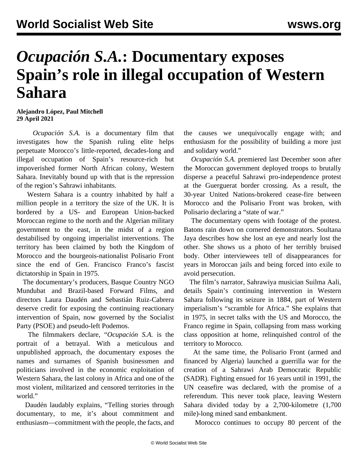## *Ocupación S.A.***: Documentary exposes Spain's role in illegal occupation of Western Sahara**

**Alejandro López, Paul Mitchell 29 April 2021**

 *Ocupación S.A.* is a documentary film that investigates how the Spanish ruling elite helps perpetuate Morocco's little-reported, decades-long and illegal occupation of Spain's resource-rich but impoverished former North African colony, Western Sahara. Inevitably bound up with that is the repression of the region's Sahrawi inhabitants.

 Western Sahara is a country inhabited by half a million people in a territory the size of the UK. It is bordered by a US- and European Union-backed Moroccan regime to the north and the Algerian military government to the east, in the midst of a region destabilised by ongoing imperialist interventions. The territory has been claimed by both the Kingdom of Morocco and the bourgeois-nationalist Polisario Front since the end of Gen. Francisco Franco's fascist dictatorship in Spain in 1975.

 The documentary's producers, Basque Country NGO Mundubat and Brazil-based Forward Films, and directors Laura Daudén and Sebastián Ruiz-Cabrera deserve credit for exposing the continuing reactionary intervention of Spain, now governed by the Socialist Party (PSOE) and pseudo-left Podemos.

 The filmmakers declare, "*Ocupación S.A.* is the portrait of a betrayal. With a meticulous and unpublished approach, the documentary exposes the names and surnames of Spanish businessmen and politicians involved in the economic exploitation of Western Sahara, the last colony in Africa and one of the most violent, militarized and censored territories in the world."

 Daudén laudably explains, "Telling stories through documentary, to me, it's about commitment and enthusiasm—commitment with the people, the facts, and the causes we unequivocally engage with; and enthusiasm for the possibility of building a more just and solidary world."

 *Ocupación S.A.* premiered last December soon after the Moroccan government deployed troops to brutally disperse a peaceful Sahrawi pro-independence protest at the Guerguerat border crossing. As a result, the 30-year United Nations-brokered cease-fire between Morocco and the Polisario Front was broken, with Polisario declaring a "state of war."

 The documentary opens with footage of the protest. Batons rain down on cornered demonstrators. Soultana Jaya describes how she lost an eye and nearly lost the other. She shows us a photo of her terribly bruised body. Other interviewees tell of disappearances for years in Moroccan jails and being forced into exile to avoid persecution.

 The film's narrator, Sahrawiya musician Suilma Aali, details Spain's continuing intervention in Western Sahara following its seizure in 1884, part of Western imperialism's "scramble for Africa." She explains that in 1975, in secret talks with the US and Morocco, the Franco regime in Spain, collapsing from mass working class opposition at home, relinquished control of the territory to Morocco.

 At the same time, the Polisario Front (armed and financed by Algeria) launched a guerrilla war for the creation of a Sahrawi Arab Democratic Republic (SADR). Fighting ensued for 16 years until in 1991, the UN ceasefire was declared, with the promise of a referendum. This never took place, leaving Western Sahara divided today by a 2,700-kilometre (1,700 mile)-long mined sand embankment.

Morocco continues to occupy 80 percent of the